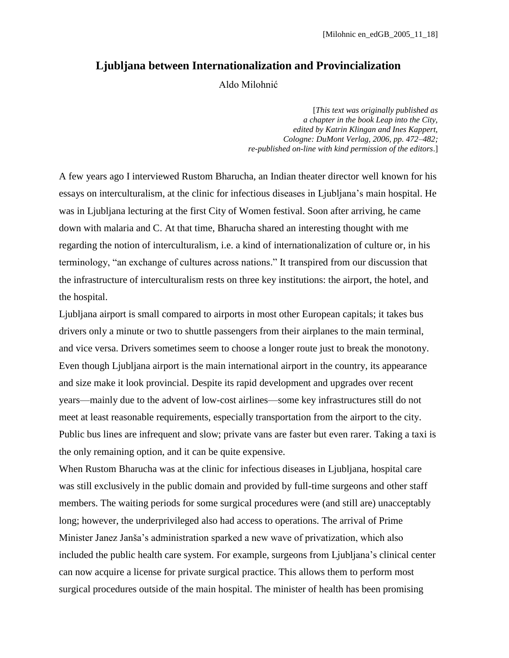## **Ljubljana between Internationalization and Provincialization**

Aldo Milohnić

[*This text was originally published as a chapter in the book Leap into the City, edited by Katrin Klingan and Ines Kappert, Cologne: DuMont Verlag, 2006, pp. 472–482; re-published on-line with kind permission of the editors*.]

A few years ago I interviewed Rustom Bharucha, an Indian theater director well known for his essays on interculturalism, at the clinic for infectious diseases in Ljubljana's main hospital. He was in Ljubljana lecturing at the first City of Women festival. Soon after arriving, he came down with malaria and C. At that time, Bharucha shared an interesting thought with me regarding the notion of interculturalism, i.e. a kind of internationalization of culture or, in his terminology, "an exchange of cultures across nations." It transpired from our discussion that the infrastructure of interculturalism rests on three key institutions: the airport, the hotel, and the hospital.

Ljubljana airport is small compared to airports in most other European capitals; it takes bus drivers only a minute or two to shuttle passengers from their airplanes to the main terminal, and vice versa. Drivers sometimes seem to choose a longer route just to break the monotony. Even though Ljubljana airport is the main international airport in the country, its appearance and size make it look provincial. Despite its rapid development and upgrades over recent years—mainly due to the advent of low-cost airlines—some key infrastructures still do not meet at least reasonable requirements, especially transportation from the airport to the city. Public bus lines are infrequent and slow; private vans are faster but even rarer. Taking a taxi is the only remaining option, and it can be quite expensive.

When Rustom Bharucha was at the clinic for infectious diseases in Ljubljana, hospital care was still exclusively in the public domain and provided by full-time surgeons and other staff members. The waiting periods for some surgical procedures were (and still are) unacceptably long; however, the underprivileged also had access to operations. The arrival of Prime Minister Janez Janša's administration sparked a new wave of privatization, which also included the public health care system. For example, surgeons from Ljubljana's clinical center can now acquire a license for private surgical practice. This allows them to perform most surgical procedures outside of the main hospital. The minister of health has been promising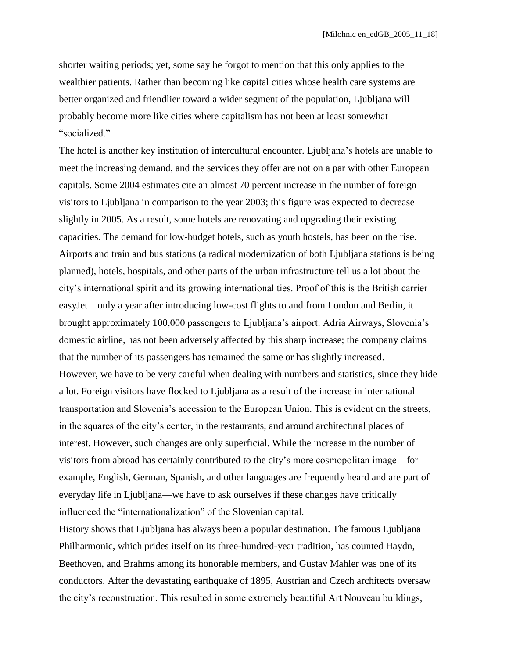shorter waiting periods; yet, some say he forgot to mention that this only applies to the wealthier patients. Rather than becoming like capital cities whose health care systems are better organized and friendlier toward a wider segment of the population, Ljubljana will probably become more like cities where capitalism has not been at least somewhat "socialized."

The hotel is another key institution of intercultural encounter. Ljubljana's hotels are unable to meet the increasing demand, and the services they offer are not on a par with other European capitals. Some 2004 estimates cite an almost 70 percent increase in the number of foreign visitors to Ljubljana in comparison to the year 2003; this figure was expected to decrease slightly in 2005. As a result, some hotels are renovating and upgrading their existing capacities. The demand for low-budget hotels, such as youth hostels, has been on the rise. Airports and train and bus stations (a radical modernization of both Ljubljana stations is being planned), hotels, hospitals, and other parts of the urban infrastructure tell us a lot about the city's international spirit and its growing international ties. Proof of this is the British carrier easyJet—only a year after introducing low-cost flights to and from London and Berlin, it brought approximately 100,000 passengers to Ljubljana's airport. Adria Airways, Slovenia's domestic airline, has not been adversely affected by this sharp increase; the company claims that the number of its passengers has remained the same or has slightly increased. However, we have to be very careful when dealing with numbers and statistics, since they hide a lot. Foreign visitors have flocked to Ljubljana as a result of the increase in international transportation and Slovenia's accession to the European Union. This is evident on the streets, in the squares of the city's center, in the restaurants, and around architectural places of interest. However, such changes are only superficial. While the increase in the number of visitors from abroad has certainly contributed to the city's more cosmopolitan image—for example, English, German, Spanish, and other languages are frequently heard and are part of everyday life in Ljubljana—we have to ask ourselves if these changes have critically influenced the "internationalization" of the Slovenian capital.

History shows that Ljubljana has always been a popular destination. The famous Ljubljana Philharmonic, which prides itself on its three-hundred-year tradition, has counted Haydn, Beethoven, and Brahms among its honorable members, and Gustav Mahler was one of its conductors. After the devastating earthquake of 1895, Austrian and Czech architects oversaw the city's reconstruction. This resulted in some extremely beautiful Art Nouveau buildings,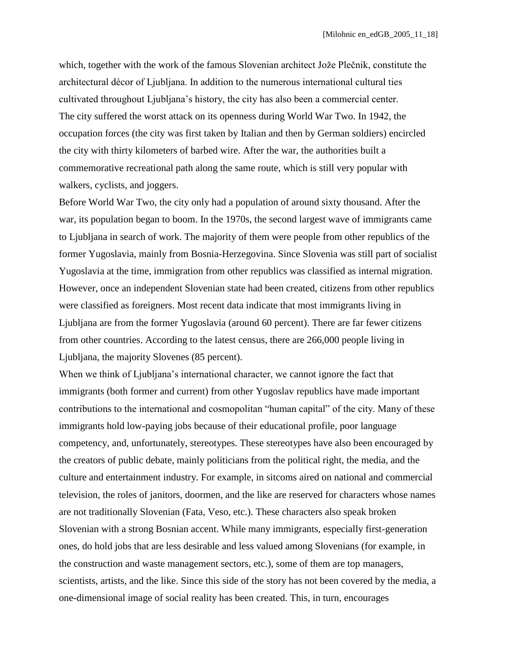which, together with the work of the famous Slovenian architect Jože Plečnik, constitute the architectural décor of Ljubljana. In addition to the numerous international cultural ties cultivated throughout Ljubljana's history, the city has also been a commercial center. The city suffered the worst attack on its openness during World War Two. In 1942, the occupation forces (the city was first taken by Italian and then by German soldiers) encircled the city with thirty kilometers of barbed wire. After the war, the authorities built a commemorative recreational path along the same route, which is still very popular with walkers, cyclists, and joggers.

Before World War Two, the city only had a population of around sixty thousand. After the war, its population began to boom. In the 1970s, the second largest wave of immigrants came to Ljubljana in search of work. The majority of them were people from other republics of the former Yugoslavia, mainly from Bosnia-Herzegovina. Since Slovenia was still part of socialist Yugoslavia at the time, immigration from other republics was classified as internal migration. However, once an independent Slovenian state had been created, citizens from other republics were classified as foreigners. Most recent data indicate that most immigrants living in Ljubljana are from the former Yugoslavia (around 60 percent). There are far fewer citizens from other countries. According to the latest census, there are 266,000 people living in Ljubljana, the majority Slovenes (85 percent).

When we think of Ljubljana's international character, we cannot ignore the fact that immigrants (both former and current) from other Yugoslav republics have made important contributions to the international and cosmopolitan "human capital" of the city. Many of these immigrants hold low-paying jobs because of their educational profile, poor language competency, and, unfortunately, stereotypes. These stereotypes have also been encouraged by the creators of public debate, mainly politicians from the political right, the media, and the culture and entertainment industry. For example, in sitcoms aired on national and commercial television, the roles of janitors, doormen, and the like are reserved for characters whose names are not traditionally Slovenian (Fata, Veso, etc.). These characters also speak broken Slovenian with a strong Bosnian accent. While many immigrants, especially first-generation ones, do hold jobs that are less desirable and less valued among Slovenians (for example, in the construction and waste management sectors, etc.), some of them are top managers, scientists, artists, and the like. Since this side of the story has not been covered by the media, a one-dimensional image of social reality has been created. This, in turn, encourages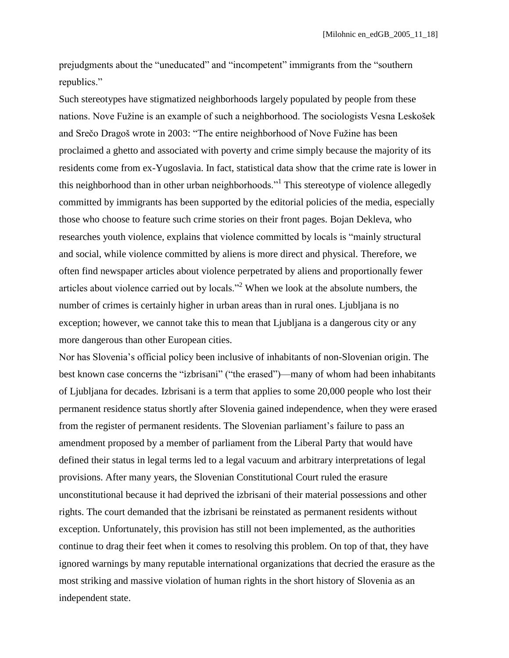prejudgments about the "uneducated" and "incompetent" immigrants from the "southern republics."

Such stereotypes have stigmatized neighborhoods largely populated by people from these nations. Nove Fužine is an example of such a neighborhood. The sociologists Vesna Leskošek and Srečo Dragoš wrote in 2003: "The entire neighborhood of Nove Fužine has been proclaimed a ghetto and associated with poverty and crime simply because the majority of its residents come from ex-Yugoslavia. In fact, statistical data show that the crime rate is lower in this neighborhood than in other urban neighborhoods."<sup>1</sup> This stereotype of violence allegedly committed by immigrants has been supported by the editorial policies of the media, especially those who choose to feature such crime stories on their front pages. Bojan Dekleva, who researches youth violence, explains that violence committed by locals is "mainly structural" and social, while violence committed by aliens is more direct and physical. Therefore, we often find newspaper articles about violence perpetrated by aliens and proportionally fewer articles about violence carried out by locals.<sup> $2$ </sup> When we look at the absolute numbers, the number of crimes is certainly higher in urban areas than in rural ones. Ljubljana is no exception; however, we cannot take this to mean that Ljubljana is a dangerous city or any more dangerous than other European cities.

Nor has Slovenia's official policy been inclusive of inhabitants of non-Slovenian origin. The best known case concerns the "izbrisani" ("the erased")—many of whom had been inhabitants of Ljubljana for decades. Izbrisani is a term that applies to some 20,000 people who lost their permanent residence status shortly after Slovenia gained independence, when they were erased from the register of permanent residents. The Slovenian parliament's failure to pass an amendment proposed by a member of parliament from the Liberal Party that would have defined their status in legal terms led to a legal vacuum and arbitrary interpretations of legal provisions. After many years, the Slovenian Constitutional Court ruled the erasure unconstitutional because it had deprived the izbrisani of their material possessions and other rights. The court demanded that the izbrisani be reinstated as permanent residents without exception. Unfortunately, this provision has still not been implemented, as the authorities continue to drag their feet when it comes to resolving this problem. On top of that, they have ignored warnings by many reputable international organizations that decried the erasure as the most striking and massive violation of human rights in the short history of Slovenia as an independent state.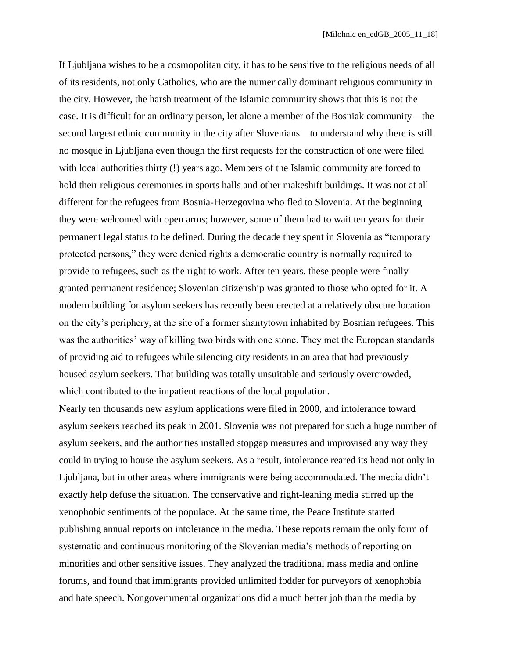If Ljubljana wishes to be a cosmopolitan city, it has to be sensitive to the religious needs of all of its residents, not only Catholics, who are the numerically dominant religious community in the city. However, the harsh treatment of the Islamic community shows that this is not the case. It is difficult for an ordinary person, let alone a member of the Bosniak community—the second largest ethnic community in the city after Slovenians—to understand why there is still no mosque in Ljubljana even though the first requests for the construction of one were filed with local authorities thirty (!) years ago. Members of the Islamic community are forced to hold their religious ceremonies in sports halls and other makeshift buildings. It was not at all different for the refugees from Bosnia-Herzegovina who fled to Slovenia. At the beginning they were welcomed with open arms; however, some of them had to wait ten years for their permanent legal status to be defined. During the decade they spent in Slovenia as "temporary" protected persons," they were denied rights a democratic country is normally required to provide to refugees, such as the right to work. After ten years, these people were finally granted permanent residence; Slovenian citizenship was granted to those who opted for it. A modern building for asylum seekers has recently been erected at a relatively obscure location on the city's periphery, at the site of a former shantytown inhabited by Bosnian refugees. This was the authorities' way of killing two birds with one stone. They met the European standards of providing aid to refugees while silencing city residents in an area that had previously housed asylum seekers. That building was totally unsuitable and seriously overcrowded, which contributed to the impatient reactions of the local population.

Nearly ten thousands new asylum applications were filed in 2000, and intolerance toward asylum seekers reached its peak in 2001. Slovenia was not prepared for such a huge number of asylum seekers, and the authorities installed stopgap measures and improvised any way they could in trying to house the asylum seekers. As a result, intolerance reared its head not only in Ljubljana, but in other areas where immigrants were being accommodated. The media didn't exactly help defuse the situation. The conservative and right-leaning media stirred up the xenophobic sentiments of the populace. At the same time, the Peace Institute started publishing annual reports on intolerance in the media. These reports remain the only form of systematic and continuous monitoring of the Slovenian media's methods of reporting on minorities and other sensitive issues. They analyzed the traditional mass media and online forums, and found that immigrants provided unlimited fodder for purveyors of xenophobia and hate speech. Nongovernmental organizations did a much better job than the media by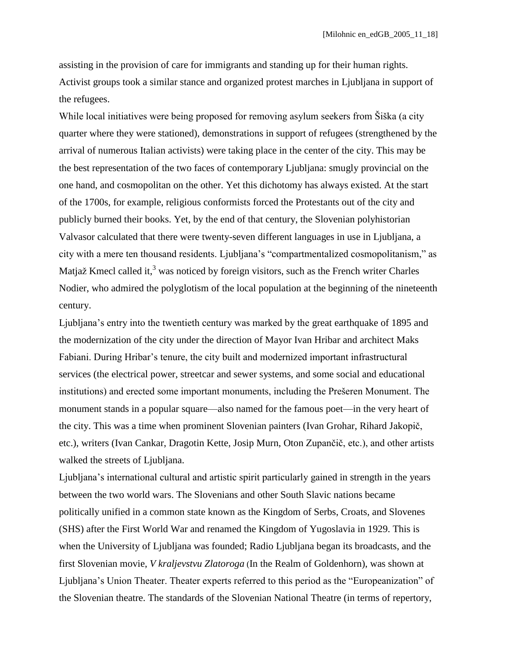assisting in the provision of care for immigrants and standing up for their human rights. Activist groups took a similar stance and organized protest marches in Ljubljana in support of the refugees.

While local initiatives were being proposed for removing asylum seekers from Šiška (a city quarter where they were stationed), demonstrations in support of refugees (strengthened by the arrival of numerous Italian activists) were taking place in the center of the city. This may be the best representation of the two faces of contemporary Ljubljana: smugly provincial on the one hand, and cosmopolitan on the other. Yet this dichotomy has always existed. At the start of the 1700s, for example, religious conformists forced the Protestants out of the city and publicly burned their books. Yet, by the end of that century, the Slovenian polyhistorian Valvasor calculated that there were twenty-seven different languages in use in Ljubljana, a city with a mere ten thousand residents. Ljubljana's "compartmentalized cosmopolitanism," as Matjaž Kmecl called it, $3$  was noticed by foreign visitors, such as the French writer Charles Nodier, who admired the polyglotism of the local population at the beginning of the nineteenth century.

Ljubljana's entry into the twentieth century was marked by the great earthquake of 1895 and the modernization of the city under the direction of Mayor Ivan Hribar and architect Maks Fabiani. During Hribar's tenure, the city built and modernized important infrastructural services (the electrical power, streetcar and sewer systems, and some social and educational institutions) and erected some important monuments, including the Prešeren Monument. The monument stands in a popular square—also named for the famous poet—in the very heart of the city. This was a time when prominent Slovenian painters (Ivan Grohar, Rihard Jakopič, etc.), writers (Ivan Cankar, Dragotin Kette, Josip Murn, Oton Zupančič, etc.), and other artists walked the streets of Ljubljana.

Ljubljana's international cultural and artistic spirit particularly gained in strength in the years between the two world wars. The Slovenians and other South Slavic nations became politically unified in a common state known as the Kingdom of Serbs, Croats, and Slovenes (SHS) after the First World War and renamed the Kingdom of Yugoslavia in 1929. This is when the University of Ljubljana was founded; Radio Ljubljana began its broadcasts, and the first Slovenian movie, *V kraljevstvu Zlatoroga* (In the Realm of Goldenhorn), was shown at Ljubljana's Union Theater. Theater experts referred to this period as the "Europeanization" of the Slovenian theatre. The standards of the Slovenian National Theatre (in terms of repertory,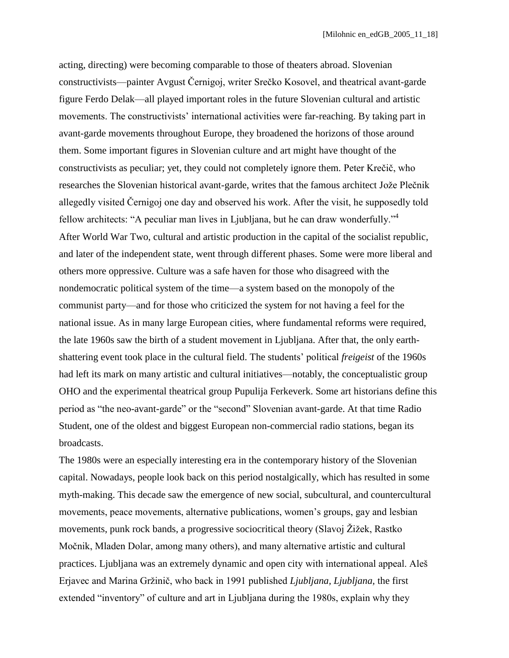acting, directing) were becoming comparable to those of theaters abroad. Slovenian constructivists—painter Avgust Černigoj, writer Srečko Kosovel, and theatrical avant-garde figure Ferdo Delak—all played important roles in the future Slovenian cultural and artistic movements. The constructivists' international activities were far-reaching. By taking part in avant-garde movements throughout Europe, they broadened the horizons of those around them. Some important figures in Slovenian culture and art might have thought of the constructivists as peculiar; yet, they could not completely ignore them. Peter Krečič, who researches the Slovenian historical avant-garde, writes that the famous architect Jože Plečnik allegedly visited Černigoj one day and observed his work. After the visit, he supposedly told fellow architects: "A peculiar man lives in Ljubljana, but he can draw wonderfully."<sup>4</sup> After World War Two, cultural and artistic production in the capital of the socialist republic, and later of the independent state, went through different phases. Some were more liberal and others more oppressive. Culture was a safe haven for those who disagreed with the nondemocratic political system of the time—a system based on the monopoly of the communist party—and for those who criticized the system for not having a feel for the national issue. As in many large European cities, where fundamental reforms were required, the late 1960s saw the birth of a student movement in Ljubljana. After that, the only earthshattering event took place in the cultural field. The students' political *freigeist* of the 1960s had left its mark on many artistic and cultural initiatives—notably, the conceptualistic group OHO and the experimental theatrical group Pupulija Ferkeverk. Some art historians define this period as "the neo-avant-garde" or the "second" Slovenian avant-garde. At that time Radio Student, one of the oldest and biggest European non-commercial radio stations, began its broadcasts.

The 1980s were an especially interesting era in the contemporary history of the Slovenian capital. Nowadays, people look back on this period nostalgically, which has resulted in some myth-making. This decade saw the emergence of new social, subcultural, and countercultural movements, peace movements, alternative publications, women's groups, gay and lesbian movements, punk rock bands, a progressive sociocritical theory (Slavoj Žižek, Rastko Močnik, Mladen Dolar, among many others), and many alternative artistic and cultural practices. Ljubljana was an extremely dynamic and open city with international appeal. Aleš Erjavec and Marina Gržinič, who back in 1991 published *Ljubljana, Ljubljana*, the first extended "inventory" of culture and art in Ljubljana during the 1980s, explain why they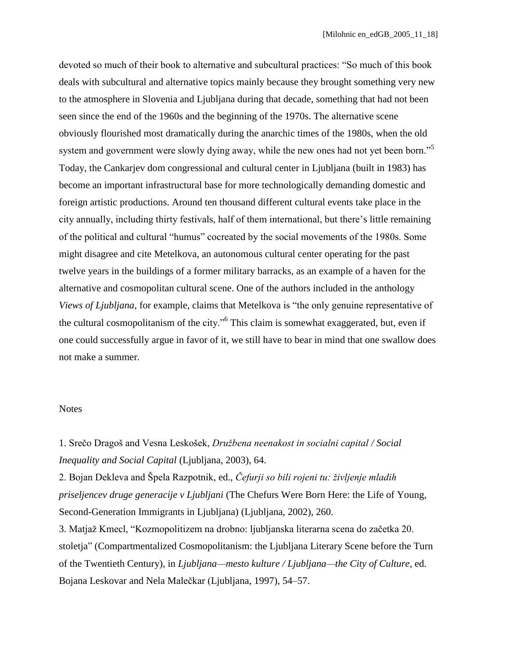devoted so much of their book to alternative and subcultural practices: "So much of this book deals with subcultural and alternative topics mainly because they brought something very new to the atmosphere in Slovenia and Ljubljana during that decade, something that had not been seen since the end of the 1960s and the beginning of the 1970s. The alternative scene obviously flourished most dramatically during the anarchic times of the 1980s, when the old system and government were slowly dying away, while the new ones had not yet been born."<sup>5</sup> Today, the Cankarjev dom congressional and cultural center in Ljubljana (built in 1983) has become an important infrastructural base for more technologically demanding domestic and foreign artistic productions. Around ten thousand different cultural events take place in the city annually, including thirty festivals, half of them international, but there's little remaining of the political and cultural "humus" cocreated by the social movements of the 1980s. Some might disagree and cite Metelkova, an autonomous cultural center operating for the past twelve years in the buildings of a former military barracks, as an example of a haven for the alternative and cosmopolitan cultural scene. One of the authors included in the anthology *Views of Ljubljana*, for example, claims that Metelkova is "the only genuine representative of the cultural cosmopolitanism of the city."<sup>6</sup> This claim is somewhat exaggerated, but, even if one could successfully argue in favor of it, we still have to bear in mind that one swallow does not make a summer.

## **Notes**

1. Srečo Dragoš and Vesna Leskošek, *Družbena neenakost in socialni capital / Social Inequality and Social Capital* (Ljubljana, 2003), 64.

2. Bojan Dekleva and Špela Razpotnik, ed., *Čefurji so bili rojeni tu: življenje mladih priseljencev druge generacije v Ljubljani* (The Chefurs Were Born Here: the Life of Young, Second-Generation Immigrants in Ljubljana) (Ljubljana, 2002), 260.

3. Matjaž Kmecl, "Kozmopolitizem na drobno: ljubljanska literarna scena do začetka 20. stoletja" (Compartmentalized Cosmopolitanism: the Ljubljana Literary Scene before the Turn of the Twentieth Century), in *Ljubljana—mesto kulture / Ljubljana—the City of Culture*, ed. Bojana Leskovar and Nela Malečkar (Ljubljana, 1997), 54–57.